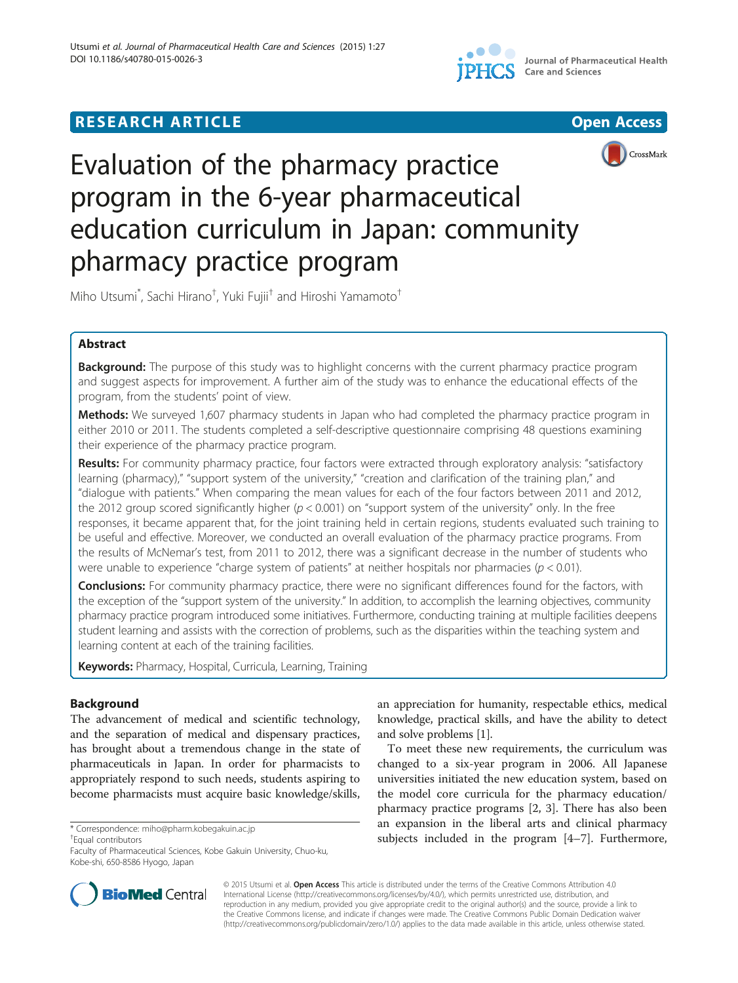

## **RESEARCH ARTICLE CONSUMING A RESEARCH ARTICLE**





# Evaluation of the pharmacy practice program in the 6-year pharmaceutical education curriculum in Japan: community pharmacy practice program

Miho Utsumi<sup>\*</sup>, Sachi Hirano<sup>†</sup>, Yuki Fujii<sup>†</sup> and Hiroshi Yamamoto<sup>†</sup>

## Abstract

**Background:** The purpose of this study was to highlight concerns with the current pharmacy practice program and suggest aspects for improvement. A further aim of the study was to enhance the educational effects of the program, from the students' point of view.

Methods: We surveyed 1,607 pharmacy students in Japan who had completed the pharmacy practice program in either 2010 or 2011. The students completed a self-descriptive questionnaire comprising 48 questions examining their experience of the pharmacy practice program.

Results: For community pharmacy practice, four factors were extracted through exploratory analysis: "satisfactory learning (pharmacy)," "support system of the university," "creation and clarification of the training plan," and "dialogue with patients." When comparing the mean values for each of the four factors between 2011 and 2012, the 2012 group scored significantly higher ( $p < 0.001$ ) on "support system of the university" only. In the free responses, it became apparent that, for the joint training held in certain regions, students evaluated such training to be useful and effective. Moreover, we conducted an overall evaluation of the pharmacy practice programs. From the results of McNemar's test, from 2011 to 2012, there was a significant decrease in the number of students who were unable to experience "charge system of patients" at neither hospitals nor pharmacies (p < 0.01).

**Conclusions:** For community pharmacy practice, there were no significant differences found for the factors, with the exception of the "support system of the university." In addition, to accomplish the learning objectives, community pharmacy practice program introduced some initiatives. Furthermore, conducting training at multiple facilities deepens student learning and assists with the correction of problems, such as the disparities within the teaching system and learning content at each of the training facilities.

Keywords: Pharmacy, Hospital, Curricula, Learning, Training

### Background

The advancement of medical and scientific technology, and the separation of medical and dispensary practices, has brought about a tremendous change in the state of pharmaceuticals in Japan. In order for pharmacists to appropriately respond to such needs, students aspiring to become pharmacists must acquire basic knowledge/skills,

<sup>+</sup>Equal contributors

an appreciation for humanity, respectable ethics, medical knowledge, practical skills, and have the ability to detect and solve problems [[1\]](#page-9-0).

To meet these new requirements, the curriculum was changed to a six-year program in 2006. All Japanese universities initiated the new education system, based on the model core curricula for the pharmacy education/ pharmacy practice programs [[2, 3\]](#page-9-0). There has also been an expansion in the liberal arts and clinical pharmacy subjects included in the program [\[4](#page-9-0)–[7\]](#page-9-0). Furthermore,  $\frac{1}{2}$  an expansion in the internal arts and clinical pharmacy subjects included in the program [4–7]. Furthermore,



© 2015 Utsumi et al. Open Access This article is distributed under the terms of the Creative Commons Attribution 4.0 International License [\(http://creativecommons.org/licenses/by/4.0/](http://creativecommons.org/licenses/by/4.0/)), which permits unrestricted use, distribution, and reproduction in any medium, provided you give appropriate credit to the original author(s) and the source, provide a link to the Creative Commons license, and indicate if changes were made. The Creative Commons Public Domain Dedication waiver [\(http://creativecommons.org/publicdomain/zero/1.0/](http://creativecommons.org/publicdomain/zero/1.0/)) applies to the data made available in this article, unless otherwise stated.

Faculty of Pharmaceutical Sciences, Kobe Gakuin University, Chuo-ku, Kobe-shi, 650-8586 Hyogo, Japan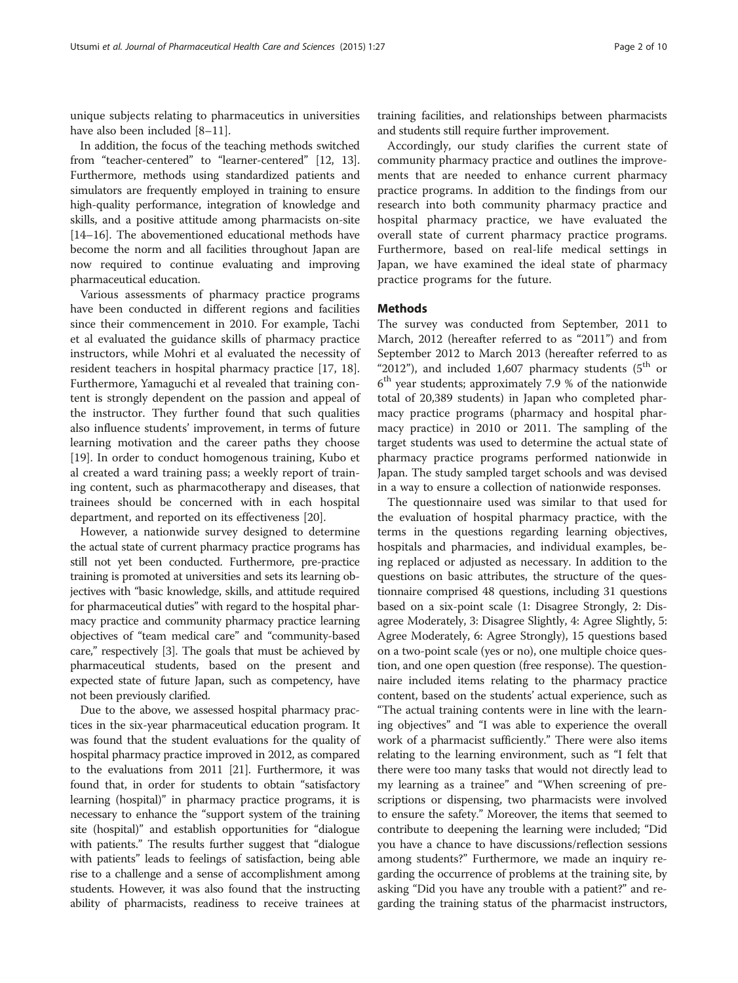unique subjects relating to pharmaceutics in universities have also been included [\[8](#page-9-0)–[11](#page-9-0)].

In addition, the focus of the teaching methods switched from "teacher-centered" to "learner-centered" [[12, 13](#page-9-0)]. Furthermore, methods using standardized patients and simulators are frequently employed in training to ensure high-quality performance, integration of knowledge and skills, and a positive attitude among pharmacists on-site [[14](#page-9-0)–[16\]](#page-9-0). The abovementioned educational methods have become the norm and all facilities throughout Japan are now required to continue evaluating and improving pharmaceutical education.

Various assessments of pharmacy practice programs have been conducted in different regions and facilities since their commencement in 2010. For example, Tachi et al evaluated the guidance skills of pharmacy practice instructors, while Mohri et al evaluated the necessity of resident teachers in hospital pharmacy practice [[17, 18](#page-9-0)]. Furthermore, Yamaguchi et al revealed that training content is strongly dependent on the passion and appeal of the instructor. They further found that such qualities also influence students' improvement, in terms of future learning motivation and the career paths they choose [[19\]](#page-9-0). In order to conduct homogenous training, Kubo et al created a ward training pass; a weekly report of training content, such as pharmacotherapy and diseases, that trainees should be concerned with in each hospital department, and reported on its effectiveness [\[20\]](#page-9-0).

However, a nationwide survey designed to determine the actual state of current pharmacy practice programs has still not yet been conducted. Furthermore, pre-practice training is promoted at universities and sets its learning objectives with "basic knowledge, skills, and attitude required for pharmaceutical duties" with regard to the hospital pharmacy practice and community pharmacy practice learning objectives of "team medical care" and "community-based care," respectively [[3\]](#page-9-0). The goals that must be achieved by pharmaceutical students, based on the present and expected state of future Japan, such as competency, have not been previously clarified.

Due to the above, we assessed hospital pharmacy practices in the six-year pharmaceutical education program. It was found that the student evaluations for the quality of hospital pharmacy practice improved in 2012, as compared to the evaluations from 2011 [\[21\]](#page-9-0). Furthermore, it was found that, in order for students to obtain "satisfactory learning (hospital)" in pharmacy practice programs, it is necessary to enhance the "support system of the training site (hospital)" and establish opportunities for "dialogue with patients." The results further suggest that "dialogue with patients" leads to feelings of satisfaction, being able rise to a challenge and a sense of accomplishment among students. However, it was also found that the instructing ability of pharmacists, readiness to receive trainees at

training facilities, and relationships between pharmacists and students still require further improvement.

Accordingly, our study clarifies the current state of community pharmacy practice and outlines the improvements that are needed to enhance current pharmacy practice programs. In addition to the findings from our research into both community pharmacy practice and hospital pharmacy practice, we have evaluated the overall state of current pharmacy practice programs. Furthermore, based on real-life medical settings in Japan, we have examined the ideal state of pharmacy practice programs for the future.

#### **Methods**

The survey was conducted from September, 2011 to March, 2012 (hereafter referred to as "2011") and from September 2012 to March 2013 (hereafter referred to as "2012"), and included 1,607 pharmacy students  $(5^{th}$  or  $6<sup>th</sup>$  year students; approximately 7.9 % of the nationwide total of 20,389 students) in Japan who completed pharmacy practice programs (pharmacy and hospital pharmacy practice) in 2010 or 2011. The sampling of the target students was used to determine the actual state of pharmacy practice programs performed nationwide in Japan. The study sampled target schools and was devised in a way to ensure a collection of nationwide responses.

The questionnaire used was similar to that used for the evaluation of hospital pharmacy practice, with the terms in the questions regarding learning objectives, hospitals and pharmacies, and individual examples, being replaced or adjusted as necessary. In addition to the questions on basic attributes, the structure of the questionnaire comprised 48 questions, including 31 questions based on a six-point scale (1: Disagree Strongly, 2: Disagree Moderately, 3: Disagree Slightly, 4: Agree Slightly, 5: Agree Moderately, 6: Agree Strongly), 15 questions based on a two-point scale (yes or no), one multiple choice question, and one open question (free response). The questionnaire included items relating to the pharmacy practice content, based on the students' actual experience, such as "The actual training contents were in line with the learning objectives" and "I was able to experience the overall work of a pharmacist sufficiently." There were also items relating to the learning environment, such as "I felt that there were too many tasks that would not directly lead to my learning as a trainee" and "When screening of prescriptions or dispensing, two pharmacists were involved to ensure the safety." Moreover, the items that seemed to contribute to deepening the learning were included; "Did you have a chance to have discussions/reflection sessions among students?" Furthermore, we made an inquiry regarding the occurrence of problems at the training site, by asking "Did you have any trouble with a patient?" and regarding the training status of the pharmacist instructors,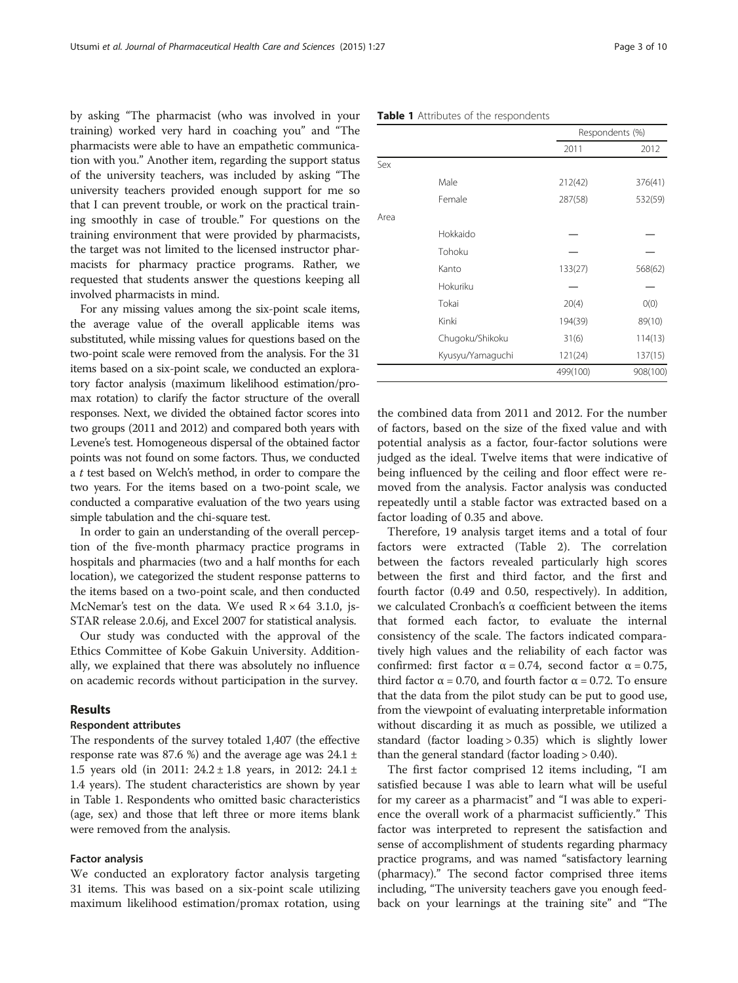by asking "The pharmacist (who was involved in your training) worked very hard in coaching you" and "The pharmacists were able to have an empathetic communication with you." Another item, regarding the support status of the university teachers, was included by asking "The university teachers provided enough support for me so that I can prevent trouble, or work on the practical training smoothly in case of trouble." For questions on the training environment that were provided by pharmacists, the target was not limited to the licensed instructor pharmacists for pharmacy practice programs. Rather, we requested that students answer the questions keeping all involved pharmacists in mind.

For any missing values among the six-point scale items, the average value of the overall applicable items was substituted, while missing values for questions based on the two-point scale were removed from the analysis. For the 31 items based on a six-point scale, we conducted an exploratory factor analysis (maximum likelihood estimation/promax rotation) to clarify the factor structure of the overall responses. Next, we divided the obtained factor scores into two groups (2011 and 2012) and compared both years with Levene's test. Homogeneous dispersal of the obtained factor points was not found on some factors. Thus, we conducted a t test based on Welch's method, in order to compare the two years. For the items based on a two-point scale, we conducted a comparative evaluation of the two years using simple tabulation and the chi-square test.

In order to gain an understanding of the overall perception of the five-month pharmacy practice programs in hospitals and pharmacies (two and a half months for each location), we categorized the student response patterns to the items based on a two-point scale, and then conducted McNemar's test on the data. We used  $R \times 64$  3.1.0, js-STAR release 2.0.6j, and Excel 2007 for statistical analysis.

Our study was conducted with the approval of the Ethics Committee of Kobe Gakuin University. Additionally, we explained that there was absolutely no influence on academic records without participation in the survey.

#### Results

#### Respondent attributes

The respondents of the survey totaled 1,407 (the effective response rate was 87.6 %) and the average age was  $24.1 \pm$ 1.5 years old (in 2011: 24.2 ± 1.8 years, in 2012: 24.1 ± 1.4 years). The student characteristics are shown by year in Table 1. Respondents who omitted basic characteristics (age, sex) and those that left three or more items blank were removed from the analysis.

#### Factor analysis

We conducted an exploratory factor analysis targeting 31 items. This was based on a six-point scale utilizing maximum likelihood estimation/promax rotation, using

|      |        | 2011    |
|------|--------|---------|
| Sex  |        |         |
|      | Male   | 212(42) |
|      | Female | 287(58) |
| Area |        |         |

|      | Female           | 287(58)  | 532(59)  |
|------|------------------|----------|----------|
| Area |                  |          |          |
|      | Hokkaido         |          |          |
|      | Tohoku           |          |          |
|      | Kanto            | 133(27)  | 568(62)  |
|      | Hokuriku         |          |          |
|      | Tokai            | 20(4)    | O(0)     |
|      | Kinki            | 194(39)  | 89(10)   |
|      | Chugoku/Shikoku  | 31(6)    | 114(13)  |
|      | Kyusyu/Yamaguchi | 121(24)  | 137(15)  |
|      |                  | 499(100) | 908(100) |

the combined data from 2011 and 2012. For the number of factors, based on the size of the fixed value and with potential analysis as a factor, four-factor solutions were judged as the ideal. Twelve items that were indicative of being influenced by the ceiling and floor effect were removed from the analysis. Factor analysis was conducted repeatedly until a stable factor was extracted based on a factor loading of 0.35 and above.

Therefore, 19 analysis target items and a total of four factors were extracted (Table [2\)](#page-3-0). The correlation between the factors revealed particularly high scores between the first and third factor, and the first and fourth factor (0.49 and 0.50, respectively). In addition, we calculated Cronbach's α coefficient between the items that formed each factor, to evaluate the internal consistency of the scale. The factors indicated comparatively high values and the reliability of each factor was confirmed: first factor  $\alpha = 0.74$ , second factor  $\alpha = 0.75$ , third factor  $\alpha$  = 0.70, and fourth factor  $\alpha$  = 0.72. To ensure that the data from the pilot study can be put to good use, from the viewpoint of evaluating interpretable information without discarding it as much as possible, we utilized a standard (factor loading > 0.35) which is slightly lower than the general standard (factor loading > 0.40).

The first factor comprised 12 items including, "I am satisfied because I was able to learn what will be useful for my career as a pharmacist" and "I was able to experience the overall work of a pharmacist sufficiently." This factor was interpreted to represent the satisfaction and sense of accomplishment of students regarding pharmacy practice programs, and was named "satisfactory learning (pharmacy)." The second factor comprised three items including, "The university teachers gave you enough feedback on your learnings at the training site" and "The

2012

376(41)

Respondents (%)

#### Table 1 Attributes of the respondents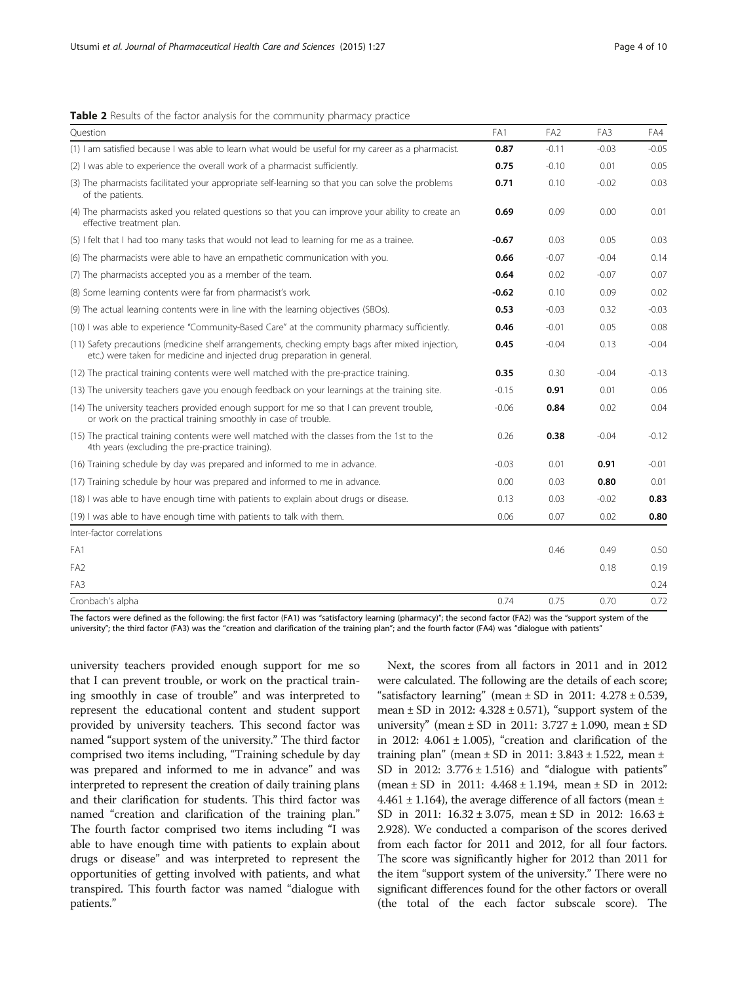#### <span id="page-3-0"></span>Table 2 Results of the factor analysis for the community pharmacy practice

| Question                                                                                                                                                                    | FA1     | FA <sub>2</sub> | FA3     | FA4     |
|-----------------------------------------------------------------------------------------------------------------------------------------------------------------------------|---------|-----------------|---------|---------|
| (1) I am satisfied because I was able to learn what would be useful for my career as a pharmacist.                                                                          | 0.87    | $-0.11$         | $-0.03$ | $-0.05$ |
| (2) I was able to experience the overall work of a pharmacist sufficiently.                                                                                                 | 0.75    | $-0.10$         | 0.01    | 0.05    |
| (3) The pharmacists facilitated your appropriate self-learning so that you can solve the problems<br>of the patients.                                                       | 0.71    | 0.10            | $-0.02$ | 0.03    |
| (4) The pharmacists asked you related questions so that you can improve your ability to create an<br>effective treatment plan.                                              | 0.69    | 0.09            | 0.00    | 0.01    |
| (5) I felt that I had too many tasks that would not lead to learning for me as a trainee.                                                                                   | $-0.67$ | 0.03            | 0.05    | 0.03    |
| (6) The pharmacists were able to have an empathetic communication with you.                                                                                                 | 0.66    | $-0.07$         | $-0.04$ | 0.14    |
| (7) The pharmacists accepted you as a member of the team.                                                                                                                   | 0.64    | 0.02            | $-0.07$ | 0.07    |
| (8) Some learning contents were far from pharmacist's work.                                                                                                                 | $-0.62$ | 0.10            | 0.09    | 0.02    |
| (9) The actual learning contents were in line with the learning objectives (SBOs).                                                                                          | 0.53    | $-0.03$         | 0.32    | $-0.03$ |
| (10) I was able to experience "Community-Based Care" at the community pharmacy sufficiently.                                                                                | 0.46    | $-0.01$         | 0.05    | 0.08    |
| (11) Safety precautions (medicine shelf arrangements, checking empty bags after mixed injection,<br>etc.) were taken for medicine and injected drug preparation in general. | 0.45    | $-0.04$         | 0.13    | $-0.04$ |
| (12) The practical training contents were well matched with the pre-practice training.                                                                                      | 0.35    | 0.30            | $-0.04$ | $-0.13$ |
| (13) The university teachers gave you enough feedback on your learnings at the training site.                                                                               | $-0.15$ | 0.91            | 0.01    | 0.06    |
| (14) The university teachers provided enough support for me so that I can prevent trouble,<br>or work on the practical training smoothly in case of trouble.                | $-0.06$ | 0.84            | 0.02    | 0.04    |
| (15) The practical training contents were well matched with the classes from the 1st to the<br>4th years (excluding the pre-practice training).                             | 0.26    | 0.38            | $-0.04$ | $-0.12$ |
| (16) Training schedule by day was prepared and informed to me in advance.                                                                                                   | $-0.03$ | 0.01            | 0.91    | $-0.01$ |
| (17) Training schedule by hour was prepared and informed to me in advance.                                                                                                  | 0.00    | 0.03            | 0.80    | 0.01    |
| (18) I was able to have enough time with patients to explain about drugs or disease.                                                                                        | 0.13    | 0.03            | $-0.02$ | 0.83    |
| (19) I was able to have enough time with patients to talk with them.                                                                                                        | 0.06    | 0.07            | 0.02    | 0.80    |
| Inter-factor correlations                                                                                                                                                   |         |                 |         |         |
| FA1                                                                                                                                                                         |         | 0.46            | 0.49    | 0.50    |
| FA <sub>2</sub>                                                                                                                                                             |         |                 | 0.18    | 0.19    |
| FA <sub>3</sub>                                                                                                                                                             |         |                 |         | 0.24    |
| Cronbach's alpha                                                                                                                                                            | 0.74    | 0.75            | 0.70    | 0.72    |

The factors were defined as the following: the first factor (FA1) was "satisfactory learning (pharmacy)"; the second factor (FA2) was the "support system of the university"; the third factor (FA3) was the "creation and clarification of the training plan"; and the fourth factor (FA4) was "dialogue with patients"

university teachers provided enough support for me so that I can prevent trouble, or work on the practical training smoothly in case of trouble" and was interpreted to represent the educational content and student support provided by university teachers. This second factor was named "support system of the university." The third factor comprised two items including, "Training schedule by day was prepared and informed to me in advance" and was interpreted to represent the creation of daily training plans and their clarification for students. This third factor was named "creation and clarification of the training plan." The fourth factor comprised two items including "I was able to have enough time with patients to explain about drugs or disease" and was interpreted to represent the opportunities of getting involved with patients, and what transpired. This fourth factor was named "dialogue with patients."

Next, the scores from all factors in 2011 and in 2012 were calculated. The following are the details of each score; "satisfactory learning" (mean  $\pm$  SD in 2011:  $4.278 \pm 0.539$ , mean  $\pm$  SD in 2012:  $4.328 \pm 0.571$ ), "support system of the university" (mean  $\pm$  SD in 2011: 3.727  $\pm$  1.090, mean  $\pm$  SD in 2012:  $4.061 \pm 1.005$ , "creation and clarification of the training plan" (mean  $\pm$  SD in 2011: 3.843  $\pm$  1.522, mean  $\pm$ SD in 2012:  $3.776 \pm 1.516$ ) and "dialogue with patients"  $(\text{mean} \pm \text{SD} \text{ in } 2011: 4.468 \pm 1.194, \text{ mean} \pm \text{SD} \text{ in } 2012:$ 4.461  $\pm$  1.164), the average difference of all factors (mean  $\pm$ SD in 2011: 16.32 ± 3.075, mean ± SD in 2012: 16.63 ± 2.928). We conducted a comparison of the scores derived from each factor for 2011 and 2012, for all four factors. The score was significantly higher for 2012 than 2011 for the item "support system of the university." There were no significant differences found for the other factors or overall (the total of the each factor subscale score). The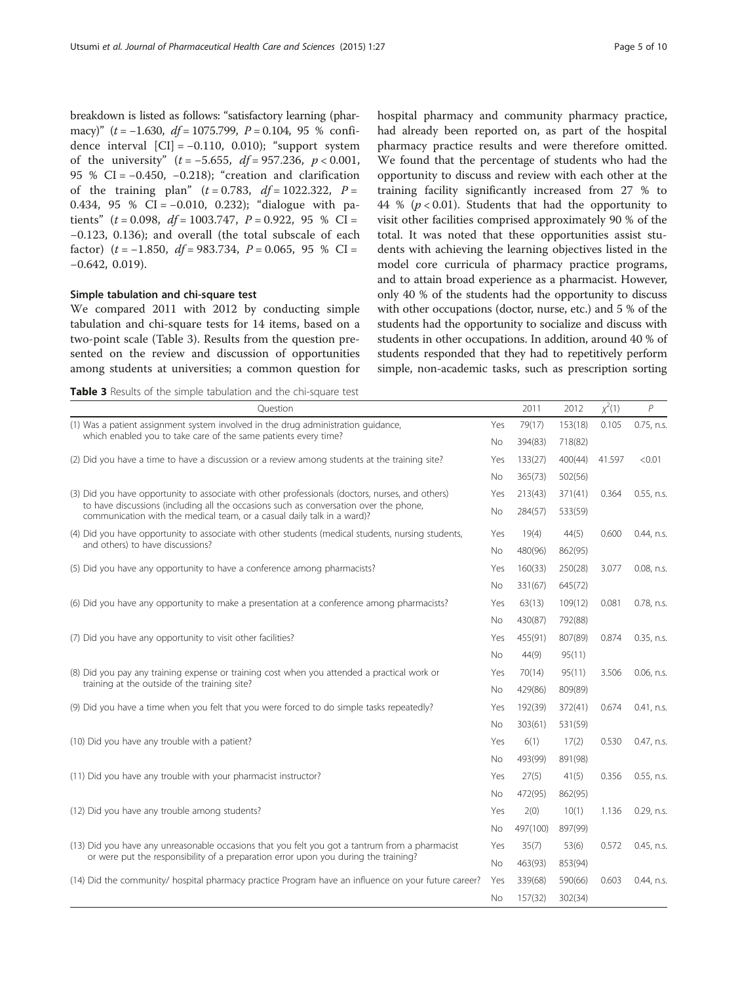breakdown is listed as follows: "satisfactory learning (pharmacy)" ( $t = -1.630$ ,  $df = 1075.799$ ,  $P = 0.104$ , 95 % confidence interval  $|CI| = -0.110, 0.010$ ; "support system of the university" ( $t = -5.655$ ,  $df = 957.236$ ,  $p < 0.001$ , 95 % CI = −0.450, −0.218); "creation and clarification of the training plan"  $(t = 0.783, df = 1022.322, P =$ 0.434, 95 % CI =  $-0.010$ , 0.232); "dialogue with patients" ( $t = 0.098$ ,  $df = 1003.747$ ,  $P = 0.922$ , 95 % CI = −0.123, 0.136); and overall (the total subscale of each factor) (t = -1.850,  $df = 983.734$ ,  $P = 0.065$ , 95 % CI = −0.642, 0.019).

#### Simple tabulation and chi-square test

We compared 2011 with 2012 by conducting simple tabulation and chi-square tests for 14 items, based on a two-point scale (Table 3). Results from the question presented on the review and discussion of opportunities among students at universities; a common question for

Table 3 Results of the simple tabulation and the chi-square test

hospital pharmacy and community pharmacy practice, had already been reported on, as part of the hospital pharmacy practice results and were therefore omitted. We found that the percentage of students who had the opportunity to discuss and review with each other at the training facility significantly increased from 27 % to 44 % ( $p < 0.01$ ). Students that had the opportunity to visit other facilities comprised approximately 90 % of the total. It was noted that these opportunities assist students with achieving the learning objectives listed in the model core curricula of pharmacy practice programs, and to attain broad experience as a pharmacist. However, only 40 % of the students had the opportunity to discuss with other occupations (doctor, nurse, etc.) and 5 % of the students had the opportunity to socialize and discuss with students in other occupations. In addition, around 40 % of students responded that they had to repetitively perform simple, non-academic tasks, such as prescription sorting

| 0.75, n.s.<br>(1) Was a patient assignment system involved in the drug administration guidance,<br>79(17)<br>153(18)<br>0.105<br>Yes<br>which enabled you to take care of the same patients every time?<br>394(83)<br>718(82)<br>No<br>400(44)<br>< 0.01<br>(2) Did you have a time to have a discussion or a review among students at the training site?<br>133(27)<br>41.597<br>Yes<br>365(73)<br>502(56)<br>No<br>(3) Did you have opportunity to associate with other professionals (doctors, nurses, and others)<br>213(43)<br>371(41)<br>$0.55$ , n.s.<br>Yes<br>0.364<br>to have discussions (including all the occasions such as conversation over the phone,<br>284(57)<br>533(59)<br>No<br>communication with the medical team, or a casual daily talk in a ward)?<br>(4) Did you have opportunity to associate with other students (medical students, nursing students,<br>19(4)<br>44(5)<br>0.600<br>0.44, n.s.<br>Yes<br>and others) to have discussions?<br>480(96)<br>862(95)<br>No<br>(5) Did you have any opportunity to have a conference among pharmacists?<br>160(33)<br>250(28)<br>0.08, n.s.<br>Yes<br>3.077<br>645(72)<br>331(67)<br>No<br>109(12)<br>0.78, n.s.<br>(6) Did you have any opportunity to make a presentation at a conference among pharmacists?<br>63(13)<br>0.081<br>Yes<br>430(87)<br>792(88)<br>No<br>(7) Did you have any opportunity to visit other facilities?<br>807(89)<br>$0.35$ , n.s.<br>Yes<br>455(91)<br>0.874<br>95(11)<br><b>No</b><br>44(9)<br>(8) Did you pay any training expense or training cost when you attended a practical work or<br>70(14)<br>95(11)<br>3.506<br>0.06, n.s.<br>Yes<br>training at the outside of the training site?<br>809(89)<br>429(86)<br>No<br>(9) Did you have a time when you felt that you were forced to do simple tasks repeatedly?<br>192(39)<br>372(41)<br>0.674<br>$0.41$ , n.s.<br>Yes<br>303(61)<br>531(59)<br>No<br>(10) Did you have any trouble with a patient?<br>6(1)<br>17(2)<br>0.530<br>0.47, n.s.<br>Yes<br>493(99)<br>No<br>891(98)<br>(11) Did you have any trouble with your pharmacist instructor?<br>27(5)<br>Yes<br>41(5)<br>0.356<br>$0.55$ , n.s.<br>472(95)<br>862(95)<br>No<br>(12) Did you have any trouble among students?<br>2(0)<br>0.29, n.s.<br>Yes<br>10(1)<br>1.136<br>497(100)<br>897(99)<br>No<br>(13) Did you have any unreasonable occasions that you felt you got a tantrum from a pharmacist<br>35(7)<br>53(6)<br>0.45, n.s.<br>Yes<br>0.572<br>or were put the responsibility of a preparation error upon you during the training?<br>463(93)<br>853(94)<br>No<br>(14) Did the community/ hospital pharmacy practice Program have an influence on your future career?<br>339(68)<br>590(66)<br>0.603<br>0.44, n.s.<br>Yes<br>157(32)<br>302(34)<br>No | Ouestion |  | 2011 | 2012 | $\chi^2(1)$ | P |
|---------------------------------------------------------------------------------------------------------------------------------------------------------------------------------------------------------------------------------------------------------------------------------------------------------------------------------------------------------------------------------------------------------------------------------------------------------------------------------------------------------------------------------------------------------------------------------------------------------------------------------------------------------------------------------------------------------------------------------------------------------------------------------------------------------------------------------------------------------------------------------------------------------------------------------------------------------------------------------------------------------------------------------------------------------------------------------------------------------------------------------------------------------------------------------------------------------------------------------------------------------------------------------------------------------------------------------------------------------------------------------------------------------------------------------------------------------------------------------------------------------------------------------------------------------------------------------------------------------------------------------------------------------------------------------------------------------------------------------------------------------------------------------------------------------------------------------------------------------------------------------------------------------------------------------------------------------------------------------------------------------------------------------------------------------------------------------------------------------------------------------------------------------------------------------------------------------------------------------------------------------------------------------------------------------------------------------------------------------------------------------------------------------------------------------------------------------------------------------------------------------------------------------------------------------------------------------------------------------------------------------------------------------------------------------------------------------------------------------------------------------------------------------------|----------|--|------|------|-------------|---|
|                                                                                                                                                                                                                                                                                                                                                                                                                                                                                                                                                                                                                                                                                                                                                                                                                                                                                                                                                                                                                                                                                                                                                                                                                                                                                                                                                                                                                                                                                                                                                                                                                                                                                                                                                                                                                                                                                                                                                                                                                                                                                                                                                                                                                                                                                                                                                                                                                                                                                                                                                                                                                                                                                                                                                                                       |          |  |      |      |             |   |
|                                                                                                                                                                                                                                                                                                                                                                                                                                                                                                                                                                                                                                                                                                                                                                                                                                                                                                                                                                                                                                                                                                                                                                                                                                                                                                                                                                                                                                                                                                                                                                                                                                                                                                                                                                                                                                                                                                                                                                                                                                                                                                                                                                                                                                                                                                                                                                                                                                                                                                                                                                                                                                                                                                                                                                                       |          |  |      |      |             |   |
|                                                                                                                                                                                                                                                                                                                                                                                                                                                                                                                                                                                                                                                                                                                                                                                                                                                                                                                                                                                                                                                                                                                                                                                                                                                                                                                                                                                                                                                                                                                                                                                                                                                                                                                                                                                                                                                                                                                                                                                                                                                                                                                                                                                                                                                                                                                                                                                                                                                                                                                                                                                                                                                                                                                                                                                       |          |  |      |      |             |   |
|                                                                                                                                                                                                                                                                                                                                                                                                                                                                                                                                                                                                                                                                                                                                                                                                                                                                                                                                                                                                                                                                                                                                                                                                                                                                                                                                                                                                                                                                                                                                                                                                                                                                                                                                                                                                                                                                                                                                                                                                                                                                                                                                                                                                                                                                                                                                                                                                                                                                                                                                                                                                                                                                                                                                                                                       |          |  |      |      |             |   |
|                                                                                                                                                                                                                                                                                                                                                                                                                                                                                                                                                                                                                                                                                                                                                                                                                                                                                                                                                                                                                                                                                                                                                                                                                                                                                                                                                                                                                                                                                                                                                                                                                                                                                                                                                                                                                                                                                                                                                                                                                                                                                                                                                                                                                                                                                                                                                                                                                                                                                                                                                                                                                                                                                                                                                                                       |          |  |      |      |             |   |
|                                                                                                                                                                                                                                                                                                                                                                                                                                                                                                                                                                                                                                                                                                                                                                                                                                                                                                                                                                                                                                                                                                                                                                                                                                                                                                                                                                                                                                                                                                                                                                                                                                                                                                                                                                                                                                                                                                                                                                                                                                                                                                                                                                                                                                                                                                                                                                                                                                                                                                                                                                                                                                                                                                                                                                                       |          |  |      |      |             |   |
|                                                                                                                                                                                                                                                                                                                                                                                                                                                                                                                                                                                                                                                                                                                                                                                                                                                                                                                                                                                                                                                                                                                                                                                                                                                                                                                                                                                                                                                                                                                                                                                                                                                                                                                                                                                                                                                                                                                                                                                                                                                                                                                                                                                                                                                                                                                                                                                                                                                                                                                                                                                                                                                                                                                                                                                       |          |  |      |      |             |   |
|                                                                                                                                                                                                                                                                                                                                                                                                                                                                                                                                                                                                                                                                                                                                                                                                                                                                                                                                                                                                                                                                                                                                                                                                                                                                                                                                                                                                                                                                                                                                                                                                                                                                                                                                                                                                                                                                                                                                                                                                                                                                                                                                                                                                                                                                                                                                                                                                                                                                                                                                                                                                                                                                                                                                                                                       |          |  |      |      |             |   |
|                                                                                                                                                                                                                                                                                                                                                                                                                                                                                                                                                                                                                                                                                                                                                                                                                                                                                                                                                                                                                                                                                                                                                                                                                                                                                                                                                                                                                                                                                                                                                                                                                                                                                                                                                                                                                                                                                                                                                                                                                                                                                                                                                                                                                                                                                                                                                                                                                                                                                                                                                                                                                                                                                                                                                                                       |          |  |      |      |             |   |
|                                                                                                                                                                                                                                                                                                                                                                                                                                                                                                                                                                                                                                                                                                                                                                                                                                                                                                                                                                                                                                                                                                                                                                                                                                                                                                                                                                                                                                                                                                                                                                                                                                                                                                                                                                                                                                                                                                                                                                                                                                                                                                                                                                                                                                                                                                                                                                                                                                                                                                                                                                                                                                                                                                                                                                                       |          |  |      |      |             |   |
|                                                                                                                                                                                                                                                                                                                                                                                                                                                                                                                                                                                                                                                                                                                                                                                                                                                                                                                                                                                                                                                                                                                                                                                                                                                                                                                                                                                                                                                                                                                                                                                                                                                                                                                                                                                                                                                                                                                                                                                                                                                                                                                                                                                                                                                                                                                                                                                                                                                                                                                                                                                                                                                                                                                                                                                       |          |  |      |      |             |   |
|                                                                                                                                                                                                                                                                                                                                                                                                                                                                                                                                                                                                                                                                                                                                                                                                                                                                                                                                                                                                                                                                                                                                                                                                                                                                                                                                                                                                                                                                                                                                                                                                                                                                                                                                                                                                                                                                                                                                                                                                                                                                                                                                                                                                                                                                                                                                                                                                                                                                                                                                                                                                                                                                                                                                                                                       |          |  |      |      |             |   |
|                                                                                                                                                                                                                                                                                                                                                                                                                                                                                                                                                                                                                                                                                                                                                                                                                                                                                                                                                                                                                                                                                                                                                                                                                                                                                                                                                                                                                                                                                                                                                                                                                                                                                                                                                                                                                                                                                                                                                                                                                                                                                                                                                                                                                                                                                                                                                                                                                                                                                                                                                                                                                                                                                                                                                                                       |          |  |      |      |             |   |
|                                                                                                                                                                                                                                                                                                                                                                                                                                                                                                                                                                                                                                                                                                                                                                                                                                                                                                                                                                                                                                                                                                                                                                                                                                                                                                                                                                                                                                                                                                                                                                                                                                                                                                                                                                                                                                                                                                                                                                                                                                                                                                                                                                                                                                                                                                                                                                                                                                                                                                                                                                                                                                                                                                                                                                                       |          |  |      |      |             |   |
|                                                                                                                                                                                                                                                                                                                                                                                                                                                                                                                                                                                                                                                                                                                                                                                                                                                                                                                                                                                                                                                                                                                                                                                                                                                                                                                                                                                                                                                                                                                                                                                                                                                                                                                                                                                                                                                                                                                                                                                                                                                                                                                                                                                                                                                                                                                                                                                                                                                                                                                                                                                                                                                                                                                                                                                       |          |  |      |      |             |   |
|                                                                                                                                                                                                                                                                                                                                                                                                                                                                                                                                                                                                                                                                                                                                                                                                                                                                                                                                                                                                                                                                                                                                                                                                                                                                                                                                                                                                                                                                                                                                                                                                                                                                                                                                                                                                                                                                                                                                                                                                                                                                                                                                                                                                                                                                                                                                                                                                                                                                                                                                                                                                                                                                                                                                                                                       |          |  |      |      |             |   |
|                                                                                                                                                                                                                                                                                                                                                                                                                                                                                                                                                                                                                                                                                                                                                                                                                                                                                                                                                                                                                                                                                                                                                                                                                                                                                                                                                                                                                                                                                                                                                                                                                                                                                                                                                                                                                                                                                                                                                                                                                                                                                                                                                                                                                                                                                                                                                                                                                                                                                                                                                                                                                                                                                                                                                                                       |          |  |      |      |             |   |
|                                                                                                                                                                                                                                                                                                                                                                                                                                                                                                                                                                                                                                                                                                                                                                                                                                                                                                                                                                                                                                                                                                                                                                                                                                                                                                                                                                                                                                                                                                                                                                                                                                                                                                                                                                                                                                                                                                                                                                                                                                                                                                                                                                                                                                                                                                                                                                                                                                                                                                                                                                                                                                                                                                                                                                                       |          |  |      |      |             |   |
|                                                                                                                                                                                                                                                                                                                                                                                                                                                                                                                                                                                                                                                                                                                                                                                                                                                                                                                                                                                                                                                                                                                                                                                                                                                                                                                                                                                                                                                                                                                                                                                                                                                                                                                                                                                                                                                                                                                                                                                                                                                                                                                                                                                                                                                                                                                                                                                                                                                                                                                                                                                                                                                                                                                                                                                       |          |  |      |      |             |   |
|                                                                                                                                                                                                                                                                                                                                                                                                                                                                                                                                                                                                                                                                                                                                                                                                                                                                                                                                                                                                                                                                                                                                                                                                                                                                                                                                                                                                                                                                                                                                                                                                                                                                                                                                                                                                                                                                                                                                                                                                                                                                                                                                                                                                                                                                                                                                                                                                                                                                                                                                                                                                                                                                                                                                                                                       |          |  |      |      |             |   |
|                                                                                                                                                                                                                                                                                                                                                                                                                                                                                                                                                                                                                                                                                                                                                                                                                                                                                                                                                                                                                                                                                                                                                                                                                                                                                                                                                                                                                                                                                                                                                                                                                                                                                                                                                                                                                                                                                                                                                                                                                                                                                                                                                                                                                                                                                                                                                                                                                                                                                                                                                                                                                                                                                                                                                                                       |          |  |      |      |             |   |
|                                                                                                                                                                                                                                                                                                                                                                                                                                                                                                                                                                                                                                                                                                                                                                                                                                                                                                                                                                                                                                                                                                                                                                                                                                                                                                                                                                                                                                                                                                                                                                                                                                                                                                                                                                                                                                                                                                                                                                                                                                                                                                                                                                                                                                                                                                                                                                                                                                                                                                                                                                                                                                                                                                                                                                                       |          |  |      |      |             |   |
|                                                                                                                                                                                                                                                                                                                                                                                                                                                                                                                                                                                                                                                                                                                                                                                                                                                                                                                                                                                                                                                                                                                                                                                                                                                                                                                                                                                                                                                                                                                                                                                                                                                                                                                                                                                                                                                                                                                                                                                                                                                                                                                                                                                                                                                                                                                                                                                                                                                                                                                                                                                                                                                                                                                                                                                       |          |  |      |      |             |   |
|                                                                                                                                                                                                                                                                                                                                                                                                                                                                                                                                                                                                                                                                                                                                                                                                                                                                                                                                                                                                                                                                                                                                                                                                                                                                                                                                                                                                                                                                                                                                                                                                                                                                                                                                                                                                                                                                                                                                                                                                                                                                                                                                                                                                                                                                                                                                                                                                                                                                                                                                                                                                                                                                                                                                                                                       |          |  |      |      |             |   |
|                                                                                                                                                                                                                                                                                                                                                                                                                                                                                                                                                                                                                                                                                                                                                                                                                                                                                                                                                                                                                                                                                                                                                                                                                                                                                                                                                                                                                                                                                                                                                                                                                                                                                                                                                                                                                                                                                                                                                                                                                                                                                                                                                                                                                                                                                                                                                                                                                                                                                                                                                                                                                                                                                                                                                                                       |          |  |      |      |             |   |
|                                                                                                                                                                                                                                                                                                                                                                                                                                                                                                                                                                                                                                                                                                                                                                                                                                                                                                                                                                                                                                                                                                                                                                                                                                                                                                                                                                                                                                                                                                                                                                                                                                                                                                                                                                                                                                                                                                                                                                                                                                                                                                                                                                                                                                                                                                                                                                                                                                                                                                                                                                                                                                                                                                                                                                                       |          |  |      |      |             |   |
|                                                                                                                                                                                                                                                                                                                                                                                                                                                                                                                                                                                                                                                                                                                                                                                                                                                                                                                                                                                                                                                                                                                                                                                                                                                                                                                                                                                                                                                                                                                                                                                                                                                                                                                                                                                                                                                                                                                                                                                                                                                                                                                                                                                                                                                                                                                                                                                                                                                                                                                                                                                                                                                                                                                                                                                       |          |  |      |      |             |   |
|                                                                                                                                                                                                                                                                                                                                                                                                                                                                                                                                                                                                                                                                                                                                                                                                                                                                                                                                                                                                                                                                                                                                                                                                                                                                                                                                                                                                                                                                                                                                                                                                                                                                                                                                                                                                                                                                                                                                                                                                                                                                                                                                                                                                                                                                                                                                                                                                                                                                                                                                                                                                                                                                                                                                                                                       |          |  |      |      |             |   |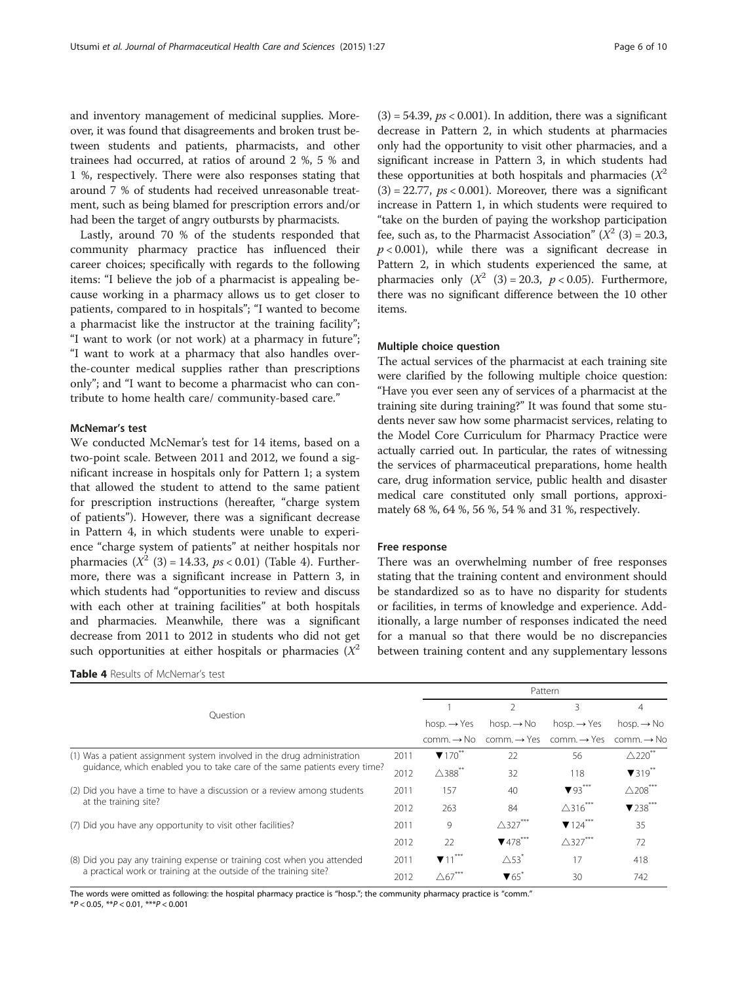and inventory management of medicinal supplies. Moreover, it was found that disagreements and broken trust between students and patients, pharmacists, and other trainees had occurred, at ratios of around 2 %, 5 % and 1 %, respectively. There were also responses stating that around 7 % of students had received unreasonable treatment, such as being blamed for prescription errors and/or had been the target of angry outbursts by pharmacists.

Lastly, around 70 % of the students responded that community pharmacy practice has influenced their career choices; specifically with regards to the following items: "I believe the job of a pharmacist is appealing because working in a pharmacy allows us to get closer to patients, compared to in hospitals"; "I wanted to become a pharmacist like the instructor at the training facility"; "I want to work (or not work) at a pharmacy in future"; "I want to work at a pharmacy that also handles overthe-counter medical supplies rather than prescriptions only"; and "I want to become a pharmacist who can contribute to home health care/ community-based care."

#### McNemar's test

We conducted McNemar's test for 14 items, based on a two-point scale. Between 2011 and 2012, we found a significant increase in hospitals only for Pattern 1; a system that allowed the student to attend to the same patient for prescription instructions (hereafter, "charge system of patients"). However, there was a significant decrease in Pattern 4, in which students were unable to experience "charge system of patients" at neither hospitals nor pharmacies  $(X^2 (3) = 14.33, ps < 0.01)$  (Table 4). Furthermore, there was a significant increase in Pattern 3, in which students had "opportunities to review and discuss with each other at training facilities" at both hospitals and pharmacies. Meanwhile, there was a significant decrease from 2011 to 2012 in students who did not get such opportunities at either hospitals or pharmacies  $(X^2)$ 

Table 4 Results of McNemar's test

 $(3) = 54.39$ ,  $ps < 0.001$ ). In addition, there was a significant decrease in Pattern 2, in which students at pharmacies only had the opportunity to visit other pharmacies, and a significant increase in Pattern 3, in which students had these opportunities at both hospitals and pharmacies  $(X^2)$  $(3) = 22.77$ ,  $ps < 0.001$ ). Moreover, there was a significant increase in Pattern 1, in which students were required to "take on the burden of paying the workshop participation fee, such as, to the Pharmacist Association"  $(X^2 (3) = 20.3,$  $p < 0.001$ ), while there was a significant decrease in Pattern 2, in which students experienced the same, at pharmacies only  $(X^2 \t(3) = 20.3, p < 0.05)$ . Furthermore, there was no significant difference between the 10 other items.

#### Multiple choice question

The actual services of the pharmacist at each training site were clarified by the following multiple choice question: "Have you ever seen any of services of a pharmacist at the training site during training?" It was found that some students never saw how some pharmacist services, relating to the Model Core Curriculum for Pharmacy Practice were actually carried out. In particular, the rates of witnessing the services of pharmaceutical preparations, home health care, drug information service, public health and disaster medical care constituted only small portions, approximately 68 %, 64 %, 56 %, 54 % and 31 %, respectively.

#### Free response

There was an overwhelming number of free responses stating that the training content and environment should be standardized so as to have no disparity for students or facilities, in terms of knowledge and experience. Additionally, a large number of responses indicated the need for a manual so that there would be no discrepancies between training content and any supplementary lessons

|                                                                           |      |                                        |                                      | Pattern                                |                               |  |
|---------------------------------------------------------------------------|------|----------------------------------------|--------------------------------------|----------------------------------------|-------------------------------|--|
| Ouestion                                                                  |      |                                        |                                      | ζ                                      | 4                             |  |
|                                                                           |      | hosp. $\rightarrow$ Yes                | hosp. $\rightarrow$ No               | hosp. $\rightarrow$ Yes                | hosp. $\rightarrow$ No        |  |
|                                                                           |      | comm. $\rightarrow$ No                 | $comm. \rightarrow Yes$              | $comm. \rightarrow Yes$                | $comm. \rightarrow NC$        |  |
| (1) Was a patient assignment system involved in the drug administration   | 2011 | $\Psi$ 170 <sup>**</sup>               | 22                                   | 56                                     | $\triangle$ 220 <sup>**</sup> |  |
| quidance, which enabled you to take care of the same patients every time? | 2012 | $\triangle 388$ **                     | 32                                   | 118                                    | $7319$ <sup>**</sup>          |  |
| (2) Did you have a time to have a discussion or a review among students   | 2011 | 157                                    | 40                                   | $\blacktriangledown$ 93 <sup>***</sup> | $\triangle$ 208***            |  |
| at the training site?                                                     | 2012 | 263                                    | 84                                   | $\triangle$ 316***                     | $\blacktriangledown$ 238***   |  |
| (7) Did you have any opportunity to visit other facilities?               | 2011 | 9                                      | $\triangle 327***$                   | $7124***$                              | 35                            |  |
|                                                                           | 2012 | 22                                     | $\Psi$ 478 <sup>***</sup>            | $\triangle 327***$                     | 72                            |  |
| (8) Did you pay any training expense or training cost when you attended   | 2011 | $\blacktriangledown$ 11 <sup>***</sup> | $\triangle$ 53 <sup>*</sup>          | 17                                     | 418                           |  |
| a practical work or training at the outside of the training site?         | 2012 | $\wedge$ 67 $\hat{ }$                  | $\blacktriangledown$ 65 <sup>*</sup> | 30                                     | 742                           |  |

The words were omitted as following: the hospital pharmacy practice is "hosp."; the community pharmacy practice is "comm."  $*P < 0.05$ ,  $*P < 0.01$ ,  $**P < 0.001$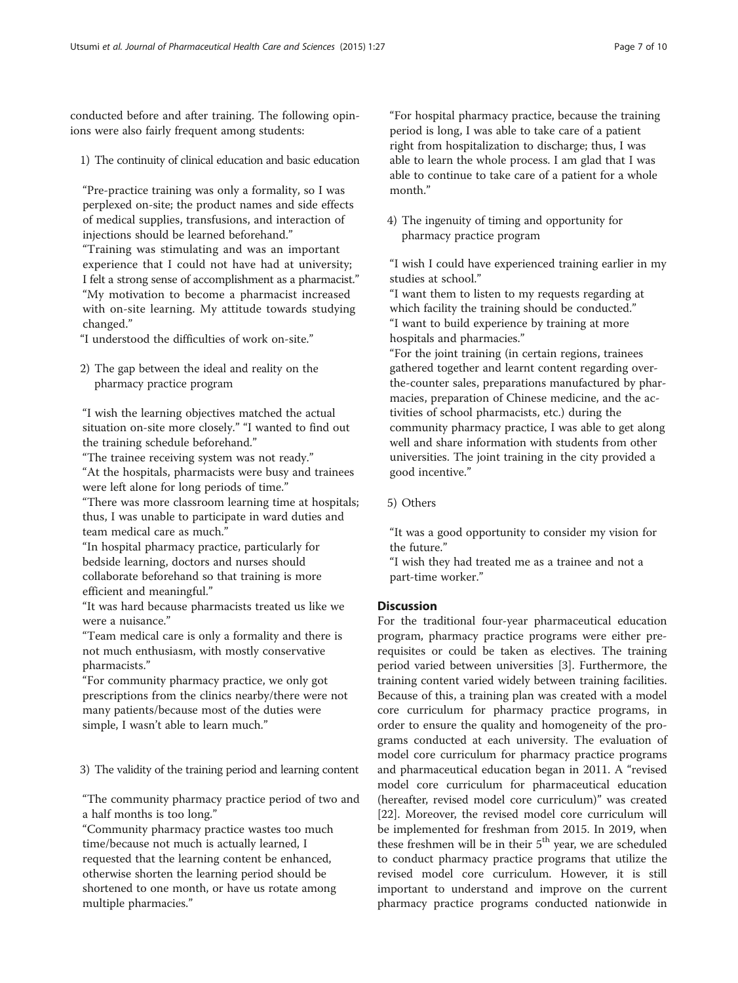conducted before and after training. The following opinions were also fairly frequent among students:

1) The continuity of clinical education and basic education

"Pre-practice training was only a formality, so I was perplexed on-site; the product names and side effects of medical supplies, transfusions, and interaction of injections should be learned beforehand."

"Training was stimulating and was an important experience that I could not have had at university; I felt a strong sense of accomplishment as a pharmacist." "My motivation to become a pharmacist increased with on-site learning. My attitude towards studying changed."

"I understood the difficulties of work on-site."

2) The gap between the ideal and reality on the pharmacy practice program

"I wish the learning objectives matched the actual situation on-site more closely." "I wanted to find out the training schedule beforehand."

"The trainee receiving system was not ready." "At the hospitals, pharmacists were busy and trainees were left alone for long periods of time."

"There was more classroom learning time at hospitals; thus, I was unable to participate in ward duties and team medical care as much."

"In hospital pharmacy practice, particularly for bedside learning, doctors and nurses should collaborate beforehand so that training is more efficient and meaningful."

"It was hard because pharmacists treated us like we were a nuisance."

"Team medical care is only a formality and there is not much enthusiasm, with mostly conservative pharmacists."

"For community pharmacy practice, we only got prescriptions from the clinics nearby/there were not many patients/because most of the duties were simple, I wasn't able to learn much."

3) The validity of the training period and learning content

"The community pharmacy practice period of two and a half months is too long."

"Community pharmacy practice wastes too much time/because not much is actually learned, I requested that the learning content be enhanced, otherwise shorten the learning period should be shortened to one month, or have us rotate among multiple pharmacies."

"For hospital pharmacy practice, because the training period is long, I was able to take care of a patient right from hospitalization to discharge; thus, I was able to learn the whole process. I am glad that I was able to continue to take care of a patient for a whole month."

4) The ingenuity of timing and opportunity for pharmacy practice program

"I wish I could have experienced training earlier in my studies at school."

"I want them to listen to my requests regarding at which facility the training should be conducted." "I want to build experience by training at more hospitals and pharmacies."

"For the joint training (in certain regions, trainees gathered together and learnt content regarding overthe-counter sales, preparations manufactured by pharmacies, preparation of Chinese medicine, and the activities of school pharmacists, etc.) during the community pharmacy practice, I was able to get along well and share information with students from other universities. The joint training in the city provided a good incentive."

5) Others

"It was a good opportunity to consider my vision for the future."

"I wish they had treated me as a trainee and not a part-time worker."

#### **Discussion**

For the traditional four-year pharmaceutical education program, pharmacy practice programs were either prerequisites or could be taken as electives. The training period varied between universities [[3\]](#page-9-0). Furthermore, the training content varied widely between training facilities. Because of this, a training plan was created with a model core curriculum for pharmacy practice programs, in order to ensure the quality and homogeneity of the programs conducted at each university. The evaluation of model core curriculum for pharmacy practice programs and pharmaceutical education began in 2011. A "revised model core curriculum for pharmaceutical education (hereafter, revised model core curriculum)" was created [[22\]](#page-9-0). Moreover, the revised model core curriculum will be implemented for freshman from 2015. In 2019, when these freshmen will be in their 5<sup>th</sup> year, we are scheduled to conduct pharmacy practice programs that utilize the revised model core curriculum. However, it is still important to understand and improve on the current pharmacy practice programs conducted nationwide in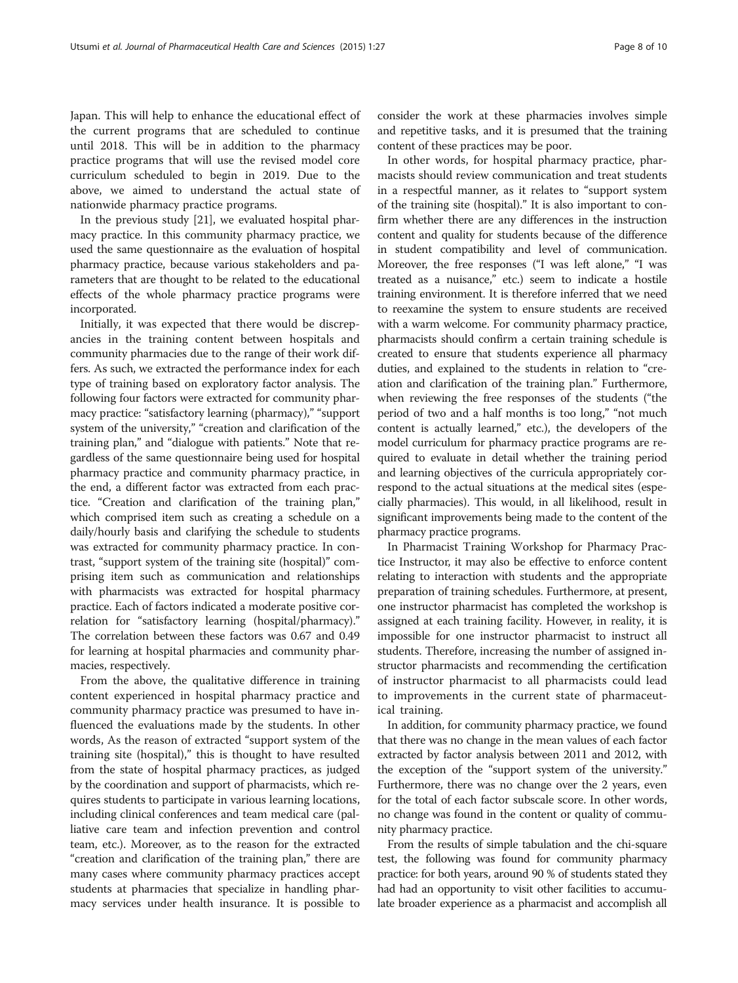Japan. This will help to enhance the educational effect of the current programs that are scheduled to continue until 2018. This will be in addition to the pharmacy practice programs that will use the revised model core curriculum scheduled to begin in 2019. Due to the above, we aimed to understand the actual state of nationwide pharmacy practice programs.

In the previous study [\[21\]](#page-9-0), we evaluated hospital pharmacy practice. In this community pharmacy practice, we used the same questionnaire as the evaluation of hospital pharmacy practice, because various stakeholders and parameters that are thought to be related to the educational effects of the whole pharmacy practice programs were incorporated.

Initially, it was expected that there would be discrepancies in the training content between hospitals and community pharmacies due to the range of their work differs. As such, we extracted the performance index for each type of training based on exploratory factor analysis. The following four factors were extracted for community pharmacy practice: "satisfactory learning (pharmacy)," "support system of the university," "creation and clarification of the training plan," and "dialogue with patients." Note that regardless of the same questionnaire being used for hospital pharmacy practice and community pharmacy practice, in the end, a different factor was extracted from each practice. "Creation and clarification of the training plan," which comprised item such as creating a schedule on a daily/hourly basis and clarifying the schedule to students was extracted for community pharmacy practice. In contrast, "support system of the training site (hospital)" comprising item such as communication and relationships with pharmacists was extracted for hospital pharmacy practice. Each of factors indicated a moderate positive correlation for "satisfactory learning (hospital/pharmacy)." The correlation between these factors was 0.67 and 0.49 for learning at hospital pharmacies and community pharmacies, respectively.

From the above, the qualitative difference in training content experienced in hospital pharmacy practice and community pharmacy practice was presumed to have influenced the evaluations made by the students. In other words, As the reason of extracted "support system of the training site (hospital)," this is thought to have resulted from the state of hospital pharmacy practices, as judged by the coordination and support of pharmacists, which requires students to participate in various learning locations, including clinical conferences and team medical care (palliative care team and infection prevention and control team, etc.). Moreover, as to the reason for the extracted "creation and clarification of the training plan," there are many cases where community pharmacy practices accept students at pharmacies that specialize in handling pharmacy services under health insurance. It is possible to

consider the work at these pharmacies involves simple and repetitive tasks, and it is presumed that the training content of these practices may be poor.

In other words, for hospital pharmacy practice, pharmacists should review communication and treat students in a respectful manner, as it relates to "support system of the training site (hospital)." It is also important to confirm whether there are any differences in the instruction content and quality for students because of the difference in student compatibility and level of communication. Moreover, the free responses ("I was left alone," "I was treated as a nuisance," etc.) seem to indicate a hostile training environment. It is therefore inferred that we need to reexamine the system to ensure students are received with a warm welcome. For community pharmacy practice, pharmacists should confirm a certain training schedule is created to ensure that students experience all pharmacy duties, and explained to the students in relation to "creation and clarification of the training plan." Furthermore, when reviewing the free responses of the students ("the period of two and a half months is too long," "not much content is actually learned," etc.), the developers of the model curriculum for pharmacy practice programs are required to evaluate in detail whether the training period and learning objectives of the curricula appropriately correspond to the actual situations at the medical sites (especially pharmacies). This would, in all likelihood, result in significant improvements being made to the content of the pharmacy practice programs.

In Pharmacist Training Workshop for Pharmacy Practice Instructor, it may also be effective to enforce content relating to interaction with students and the appropriate preparation of training schedules. Furthermore, at present, one instructor pharmacist has completed the workshop is assigned at each training facility. However, in reality, it is impossible for one instructor pharmacist to instruct all students. Therefore, increasing the number of assigned instructor pharmacists and recommending the certification of instructor pharmacist to all pharmacists could lead to improvements in the current state of pharmaceutical training.

In addition, for community pharmacy practice, we found that there was no change in the mean values of each factor extracted by factor analysis between 2011 and 2012, with the exception of the "support system of the university." Furthermore, there was no change over the 2 years, even for the total of each factor subscale score. In other words, no change was found in the content or quality of community pharmacy practice.

From the results of simple tabulation and the chi-square test, the following was found for community pharmacy practice: for both years, around 90 % of students stated they had had an opportunity to visit other facilities to accumulate broader experience as a pharmacist and accomplish all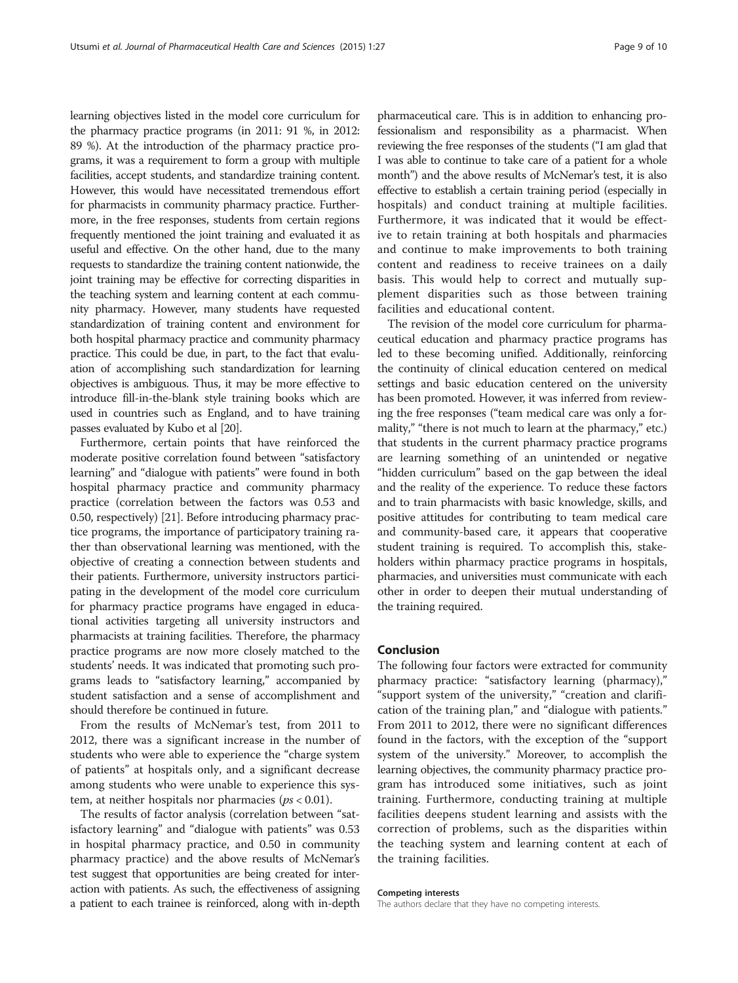learning objectives listed in the model core curriculum for the pharmacy practice programs (in 2011: 91 %, in 2012: 89 %). At the introduction of the pharmacy practice programs, it was a requirement to form a group with multiple facilities, accept students, and standardize training content. However, this would have necessitated tremendous effort for pharmacists in community pharmacy practice. Furthermore, in the free responses, students from certain regions frequently mentioned the joint training and evaluated it as useful and effective. On the other hand, due to the many requests to standardize the training content nationwide, the joint training may be effective for correcting disparities in the teaching system and learning content at each community pharmacy. However, many students have requested standardization of training content and environment for both hospital pharmacy practice and community pharmacy practice. This could be due, in part, to the fact that evaluation of accomplishing such standardization for learning objectives is ambiguous. Thus, it may be more effective to introduce fill-in-the-blank style training books which are used in countries such as England, and to have training passes evaluated by Kubo et al [\[20](#page-9-0)].

Furthermore, certain points that have reinforced the moderate positive correlation found between "satisfactory learning" and "dialogue with patients" were found in both hospital pharmacy practice and community pharmacy practice (correlation between the factors was 0.53 and 0.50, respectively) [\[21\]](#page-9-0). Before introducing pharmacy practice programs, the importance of participatory training rather than observational learning was mentioned, with the objective of creating a connection between students and their patients. Furthermore, university instructors participating in the development of the model core curriculum for pharmacy practice programs have engaged in educational activities targeting all university instructors and pharmacists at training facilities. Therefore, the pharmacy practice programs are now more closely matched to the students' needs. It was indicated that promoting such programs leads to "satisfactory learning," accompanied by student satisfaction and a sense of accomplishment and should therefore be continued in future.

From the results of McNemar's test, from 2011 to 2012, there was a significant increase in the number of students who were able to experience the "charge system of patients" at hospitals only, and a significant decrease among students who were unable to experience this system, at neither hospitals nor pharmacies ( $ps < 0.01$ ).

The results of factor analysis (correlation between "satisfactory learning" and "dialogue with patients" was 0.53 in hospital pharmacy practice, and 0.50 in community pharmacy practice) and the above results of McNemar's test suggest that opportunities are being created for interaction with patients. As such, the effectiveness of assigning a patient to each trainee is reinforced, along with in-depth

pharmaceutical care. This is in addition to enhancing professionalism and responsibility as a pharmacist. When reviewing the free responses of the students ("I am glad that I was able to continue to take care of a patient for a whole month") and the above results of McNemar's test, it is also effective to establish a certain training period (especially in hospitals) and conduct training at multiple facilities. Furthermore, it was indicated that it would be effective to retain training at both hospitals and pharmacies and continue to make improvements to both training content and readiness to receive trainees on a daily basis. This would help to correct and mutually supplement disparities such as those between training facilities and educational content.

The revision of the model core curriculum for pharmaceutical education and pharmacy practice programs has led to these becoming unified. Additionally, reinforcing the continuity of clinical education centered on medical settings and basic education centered on the university has been promoted. However, it was inferred from reviewing the free responses ("team medical care was only a formality," "there is not much to learn at the pharmacy," etc.) that students in the current pharmacy practice programs are learning something of an unintended or negative "hidden curriculum" based on the gap between the ideal and the reality of the experience. To reduce these factors and to train pharmacists with basic knowledge, skills, and positive attitudes for contributing to team medical care and community-based care, it appears that cooperative student training is required. To accomplish this, stakeholders within pharmacy practice programs in hospitals, pharmacies, and universities must communicate with each other in order to deepen their mutual understanding of the training required.

#### Conclusion

The following four factors were extracted for community pharmacy practice: "satisfactory learning (pharmacy)," "support system of the university," "creation and clarification of the training plan," and "dialogue with patients." From 2011 to 2012, there were no significant differences found in the factors, with the exception of the "support system of the university." Moreover, to accomplish the learning objectives, the community pharmacy practice program has introduced some initiatives, such as joint training. Furthermore, conducting training at multiple facilities deepens student learning and assists with the correction of problems, such as the disparities within the teaching system and learning content at each of the training facilities.

#### Competing interests

The authors declare that they have no competing interests.